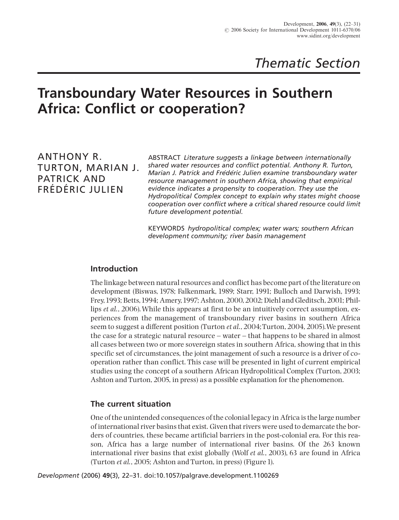# Thematic Section

## Transboundary Water Resources in Southern Africa: Conflict or cooperation?

ANTHONY R. TURTON, MARIAN J. PATRICK AND FRÉDÉRIC JULIEN

ABSTRACT Literature suggests a linkage between internationally shared water resources and conflict potential. Anthony R. Turton, Marian J. Patrick and Frédéric Julien examine transboundary water resource management in southern Africa, showing that empirical evidence indicates a propensity to cooperation. They use the Hydropolitical Complex concept to explain why states might choose cooperation over conflict where a critical shared resource could limit future development potential.

KEYWORDS hydropolitical complex; water wars; southern African development community; river basin management

### Introduction

The linkage between natural resources and conflict has become part of the literature on development (Biswas, 1978; Falkenmark, 1989; Starr, 1991; Bulloch and Darwish, 1993; Frey,1993; Betts,1994; Amery,1997; Ashton,2000,2002; Diehl and Gleditsch,2001; Phillips et al., 2006).While this appears at first to be an intuitively correct assumption, experiences from the management of transboundary river basins in southern Africa seem to suggest a different position (Turton *et al., 2004; Turton, 2004, 2005)*. We present the case for a strategic natural resource  $-$  water  $-$  that happens to be shared in almost all cases between two or more sovereign states in southern Africa, showing that in this specific set of circumstances, the joint management of such a resource is a driver of cooperation rather than conflict. This case will be presented in light of current empirical studies using the concept of a southern African Hydropolitical Complex (Turton, 2003; Ashton and Turton, 2005, in press) as a possible explanation for the phenomenon.

### The current situation

One of the unintended consequences of the colonial legacy in Africa is the large number of international river basins that exist. Given that rivers were used to demarcate the borders of countries, these became artificial barriers in the post-colonial era. For this reason, Africa has a large number of international river basins. Of the 263 known international river basins that exist globally (Wolf et al., 2003), 63 are found in Africa (Turton et al., 2005; Ashton and Turton, in press) (Figure 1).

Development (2006) 49(3), 22–31. doi:10.1057/palgrave.development.1100269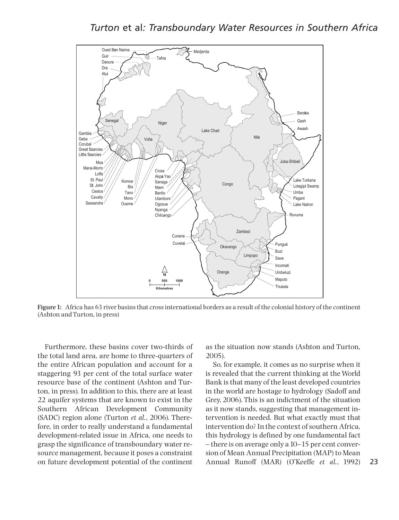

Figure 1: Africa has 63 river basins that cross international borders as a result of the colonial history of the continent (Ashton and Turton, in press)

Furthermore, these basins cover two-thirds of the total land area, are home to three-quarters of the entire African population and account for a staggering 93 per cent of the total surface water resource base of the continent (Ashton and Turton, in press). In addition to this, there are at least 22 aquifer systems that are known to exist in the Southern African Development Community (SADC) region alone (Turton et al., 2006). Therefore, in order to really understand a fundamental development-related issue in Africa, one needs to grasp the significance of transboundary water resource management, because it poses a constraint on future development potential of the continent

as the situation now stands (Ashton and Turton, 2005).

So, for example, it comes as no surprise when it is revealed that the current thinking at the World Bank is that many of the least developed countries in the world are hostage to hydrology (Sadoff and Grey, 2006). This is an indictment of the situation as it now stands, suggesting that management intervention is needed. But what exactly must that intervention do? In the context of southern Africa, this hydrology is defined by one fundamental fact  $-$  there is on average only a 10 $-15$  per cent conversion of Mean Annual Precipitation (MAP) to Mean Annual Runoff (MAR) (O'Keeffe et al., 1992)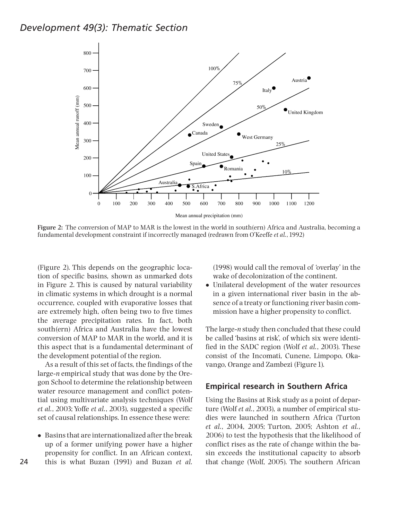

Figure 2: The conversion of MAP to MAR is the lowest in the world in south(ern) Africa and Australia, becoming a fundamental development constraint if incorrectly managed (redrawn from O'Keeffe et al.,1992)

(Figure 2). This depends on the geographic location of specific basins, shown as unmarked dots in Figure 2. This is caused by natural variability in climatic systems in which drought is a normal occurrence, coupled with evaporative losses that are extremely high, often being two to five times the average precipitation rates. In fact, both south(ern) Africa and Australia have the lowest conversion of MAP to MAR in the world, and it is this aspect that is a fundamental determinant of the development potential of the region.

As a result of this set of facts, the findings of the large-n empirical study that was done by the Oregon School to determine the relationship between water resource management and conflict potential using multivariate analysis techniques (Wolf et al., 2003; Yoffe et al., 2003), suggested a specific set of causal relationships. In essence these were:

 Basins that are internationalized after the break up of a former unifying power have a higher propensity for conflict. In an African context, this is what Buzan (1991) and Buzan et al. (1998) would call the removal of 'overlay' in the wake of decolonization of the continent.

 Unilateral development of the water resources in a given international river basin in the absence of a treaty or functioning river basin commission have a higher propensity to conflict.

The large-n study then concluded that these could be called 'basins at risk', of which six were identified in the SADC region (Wolf et al., 2003). These consist of the Incomati, Cunene, Limpopo, Okavango, Orange and Zambezi (Figure 1).

### Empirical research in Southern Africa

Using the Basins at Risk study as a point of departure (Wolf et al., 2003), a number of empirical studies were launched in southern Africa (Turton et al., 2004, 2005; Turton, 2005; Ashton et al., 2006) to test the hypothesis that the likelihood of conflict rises as the rate of change within the basin exceeds the institutional capacity to absorb that change (Wolf, 2005). The southern African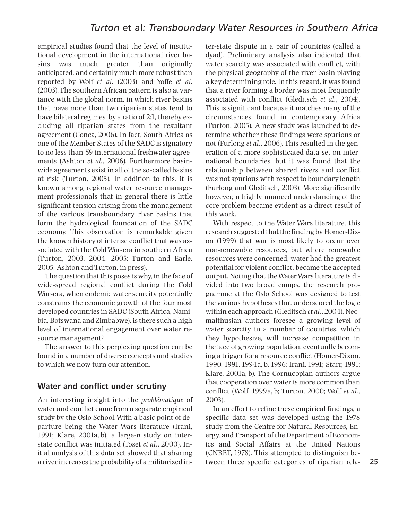empirical studies found that the level of institutional development in the international river basins was much greater than originally anticipated, and certainly much more robust than reported by Wolf et al. (2003) and Yoffe et al. (2003).The southern African pattern is also at variance with the global norm, in which river basins that have more than two riparian states tend to have bilateral regimes, by a ratio of 2:1, thereby excluding all riparian states from the resultant agreement (Conca, 2006). In fact, South Africa as one of the Member States of the SADC is signatory to no less than 59 international freshwater agreements (Ashton et al., 2006). Furthermore basinwide agreements exist in all of the so-called basins at risk (Turton, 2005). In addition to this, it is known among regional water resource management professionals that in general there is little significant tension arising from the management of the various transboundary river basins that form the hydrological foundation of the SADC economy. This observation is remarkable given the known history of intense conflict that was associated with the ColdWar-era in southern Africa (Turton, 2003, 2004, 2005; Turton and Earle, 2005; Ashton and Turton, in press).

The question that this poses is why, in the face of wide-spread regional conflict during the Cold War-era, when endemic water scarcity potentially constrains the economic growth of the four most developed countries in SADC (South Africa, Namibia, Botswana and Zimbabwe), is there such a high level of international engagement over water resource management?

The answer to this perplexing question can be found in a number of diverse concepts and studies to which we now turn our attention.

### Water and conflict under scrutiny

An interesting insight into the *problématique* of water and conflict came from a separate empirical study by the Oslo School.With a basic point of departure being the Water Wars literature (Irani, 1991; Klare, 2001a, b), a large-n study on interstate conflict was initiated (Toset et al., 2000). Initial analysis of this data set showed that sharing a river increases the probability of a militarized in-

ter-state dispute in a pair of countries (called a dyad). Preliminary analysis also indicated that water scarcity was associated with conflict, with the physical geography of the river basin playing a key determining role. In this regard, it was found that a river forming a border was most frequently associated with conflict (Gleditsch et al., 2004). This is significant because it matches many of the circumstances found in contemporary Africa (Turton, 2005). A new study was launched to determine whether these findings were spurious or not (Furlong et al., 2006). This resulted in the generation of a more sophisticated data set on international boundaries, but it was found that the relationship between shared rivers and conflict was not spurious with respect to boundary length (Furlong and Gleditsch, 2003). More significantly however, a highly nuanced understanding of the core problem became evident as a direct result of this work.

With respect to the Water Wars literature, this research suggested that the finding by Homer-Dixon (1999) that war is most likely to occur over non-renewable resources, but where renewable resources were concerned, water had the greatest potential for violent conflict, became the accepted output. Noting that theWaterWars literature is divided into two broad camps, the research programme at the Oslo School was designed to test the various hypotheses that underscored the logic within each approach (Gleditsch et al., 2004). Neomalthusian authors foresee a growing level of water scarcity in a number of countries, which they hypothesize, will increase competition in the face of growing population, eventually becoming a trigger for a resource conflict (Homer-Dixon, 1990, 1991, 1994a, b, 1996; Irani, 1991; Starr, 1991; Klare, 2001a, b). The Cornucopian authors argue that cooperation over water is more common than conflict (Wolf, 1999a, b; Turton, 2000; Wolf et al., 2003).

In an effort to refine these empirical findings, a specific data set was developed using the 1978 study from the Centre for Natural Resources, Energy, and Transport of the Department of Economics and Social Affairs at the United Nations (CNRET, 1978). This attempted to distinguish between three specific categories of riparian rela-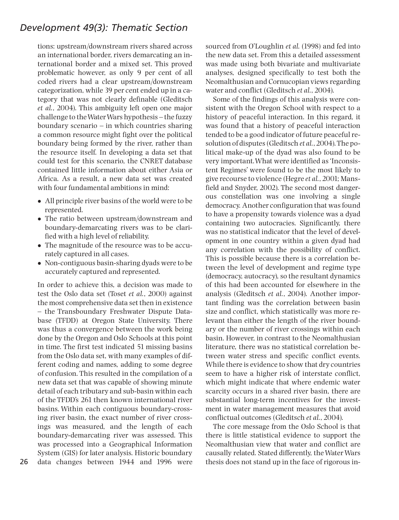tions: upstream/downstream rivers shared across an international border, rivers demarcating an international border and a mixed set. This proved problematic however, as only 9 per cent of all coded rivers had a clear upstream/downstream categorization, while 39 per cent ended up in a category that was not clearly definable (Gleditsch et al., 2004). This ambiguity left open one major challenge to the Water Wars hypothesis - the fuzzy boundary scenario  $-$  in which countries sharing a common resource might fight over the political boundary being formed by the river, rather than the resource itself. In developing a data set that could test for this scenario, the CNRET database contained little information about either Asia or Africa. As a result, a new data set was created with four fundamental ambitions in mind:

- All principle river basins of the world were to be represented.
- The ratio between upstream/downstream and boundary-demarcating rivers was to be clarified with a high level of reliability.
- The magnitude of the resource was to be accurately captured in all cases.
- Non-contiguous basin-sharing dyads were to be accurately captured and represented.

In order to achieve this, a decision was made to test the Oslo data set (Toset et al., 2000) against the most comprehensive data set then in existence - the Transboundary Freshwater Dispute Database (TFDD) at Oregon State University. There was thus a convergence between the work being done by the Oregon and Oslo Schools at this point in time. The first test indicated 51 missing basins from the Oslo data set, with many examples of different coding and names, adding to some degree of confusion. This resulted in the compilation of a new data set that was capable of showing minute detail of each tributary and sub-basin within each of the TFDD's 261 then known international river basins. Within each contiguous boundary-crossing river basin, the exact number of river crossings was measured, and the length of each boundary-demarcating river was assessed. This was processed into a Geographical Information System (GIS) for later analysis. Historic boundary data changes between 1944 and 1996 were sourced from O'Loughlin et al. (1998) and fed into the new data set. From this a detailed assessment was made using both bivariate and multivariate analyses, designed specifically to test both the Neomalthusian and Cornucopian views regarding water and conflict (Gleditsch et al., 2004).

Some of the findings of this analysis were consistent with the Oregon School with respect to a history of peaceful interaction. In this regard, it was found that a history of peaceful interaction tended to be a good indicator of future peaceful resolution of disputes (Gleditsch et al., 2004). The political make-up of the dyad was also found to be very important.What were identified as 'Inconsistent Regimes' were found to be the most likely to give recourse to violence (Hegre et al., 2001; Mansfield and Snyder, 2002). The second most dangerous constellation was one involving a single democracy. Another configuration that was found to have a propensity towards violence was a dyad containing two autocracies. Significantly, there was no statistical indicator that the level of development in one country within a given dyad had any correlation with the possibility of conflict. This is possible because there is a correlation between the level of development and regime type (democracy, autocracy), so the resultant dynamics of this had been accounted for elsewhere in the analysis (Gleditsch et al., 2004). Another important finding was the correlation between basin size and conflict, which statistically was more relevant than either the length of the river boundary or the number of river crossings within each basin. However, in contrast to the Neomalthusian literature, there was no statistical correlation between water stress and specific conflict events. While there is evidence to show that dry countries seem to have a higher risk of interstate conflict, which might indicate that where endemic water scarcity occurs in a shared river basin, there are substantial long-term incentives for the investment in water management measures that avoid conflictual outcomes (Gleditsch et al., 2004).

The core message from the Oslo School is that there is little statistical evidence to support the Neomalthusian view that water and conflict are causally related. Stated differently, theWaterWars thesis does not stand up in the face of rigorous in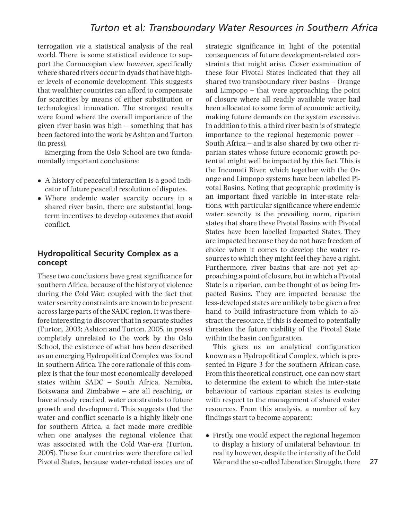terrogation via a statistical analysis of the real world. There is some statistical evidence to support the Cornucopian view however, specifically where shared rivers occur in dyads that have higher levels of economic development. This suggests that wealthier countries can afford to compensate for scarcities by means of either substitution or technological innovation. The strongest results were found where the overall importance of the given river basin was high  $-$  something that has been factored into the work byAshton and Turton (in press).

Emerging from the Oslo School are two fundamentally important conclusions:

- A history of peaceful interaction is a good indicator of future peaceful resolution of disputes.
- Where endemic water scarcity occurs in a shared river basin, there are substantial longterm incentives to develop outcomes that avoid conflict.

### Hydropolitical Security Complex as a concept

These two conclusions have great significance for southern Africa, because of the history of violence during the Cold War, coupled with the fact that water scarcity constraints are known to be present across large parts of the SADC region. It was therefore interesting to discover that in separate studies (Turton, 2003; Ashton and Turton, 2005, in press) completely unrelated to the work by the Oslo School, the existence of what has been described as an emerging Hydropolitical Complex was found in southern Africa. The core rationale of this complex is that the four most economically developed states within SADC - South Africa, Namibia, Botswana and Zimbabwe ^ are all reaching, or have already reached, water constraints to future growth and development. This suggests that the water and conflict scenario is a highly likely one for southern Africa, a fact made more credible when one analyses the regional violence that was associated with the Cold War-era (Turton, 2005). These four countries were therefore called Pivotal States, because water-related issues are of strategic significance in light of the potential consequences of future development-related constraints that might arise. Closer examination of these four Pivotal States indicated that they all shared two transboundary river basins – Orange and Limpopo  $-$  that were approaching the point of closure where all readily available water had been allocated to some form of economic activity, making future demands on the system excessive. In addition to this, a third river basin is of strategic importance to the regional hegemonic power  $-$ South Africa – and is also shared by two other riparian states whose future economic growth potential might well be impacted by this fact. This is the Incomati River, which together with the Orange and Limpopo systems have been labelled Pivotal Basins. Noting that geographic proximity is an important fixed variable in inter-state relations, with particular significance where endemic water scarcity is the prevailing norm, riparian states that share these Pivotal Basins with Pivotal States have been labelled Impacted States. They are impacted because they do not have freedom of choice when it comes to develop the water resources to which they might feel they have a right. Furthermore, river basins that are not yet approaching a point of closure, but in which a Pivotal State is a riparian, can be thought of as being Impacted Basins. They are impacted because the less-developed states are unlikely to be given a free hand to build infrastructure from which to abstract the resource, if this is deemed to potentially threaten the future viability of the Pivotal State within the basin configuration.

This gives us an analytical configuration known as a Hydropolitical Complex, which is presented in Figure 3 for the southern African case. From this theoretical construct, one can now start to determine the extent to which the inter-state behaviour of various riparian states is evolving with respect to the management of shared water resources. From this analysis, a number of key findings start to become apparent:

• Firstly, one would expect the regional hegemon to display a history of unilateral behaviour. In reality however, despite the intensity of the Cold War and the so-called Liberation Struggle, there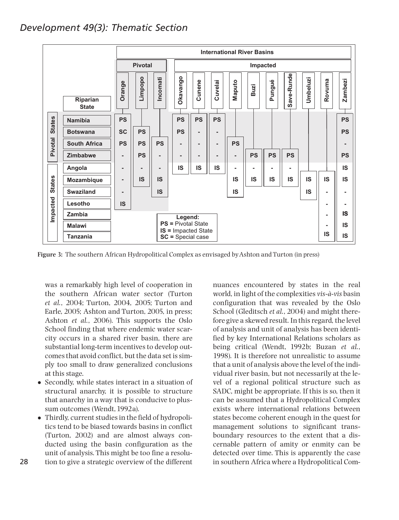

Figure 3: The southern African Hydropolitical Complex as envisaged byAshton and Turton (in press)

was a remarkably high level of cooperation in the southern African water sector (Turton et al., 2004; Turton, 2004, 2005; Turton and Earle, 2005; Ashton and Turton, 2005, in press; Ashton et al., 2006). This supports the Oslo School finding that where endemic water scarcity occurs in a shared river basin, there are substantial long-term incentives to develop outcomes that avoid conflict, but the data set is simply too small to draw generalized conclusions at this stage.

- Secondly, while states interact in a situation of structural anarchy, it is possible to structure that anarchy in a way that is conducive to plussum outcomes (Wendt,1992a).
- Thirdly, current studies in the field of hydropolitics tend to be biased towards basins in conflict (Turton, 2002) and are almost always conducted using the basin configuration as the unit of analysis. This might be too fine a resolution to give a strategic overview of the different

nuances encountered by states in the real world, in light of the complexities vis-à-vis basin configuration that was revealed by the Oslo School (Gleditsch et al., 2004) and might therefore give a skewed result. In this regard, the level of analysis and unit of analysis has been identified by key International Relations scholars as being critical (Wendt, 1992b; Buzan et al., 1998). It is therefore not unrealistic to assume that a unit of analysis above the level of the individual river basin, but not necessarily at the level of a regional political structure such as SADC, might be appropriate. If this is so, then it can be assumed that a Hydropolitical Complex exists where international relations between states become coherent enough in the quest for management solutions to significant transboundary resources to the extent that a discernable pattern of amity or enmity can be detected over time. This is apparently the case in southern Africa where a Hydropolitical Com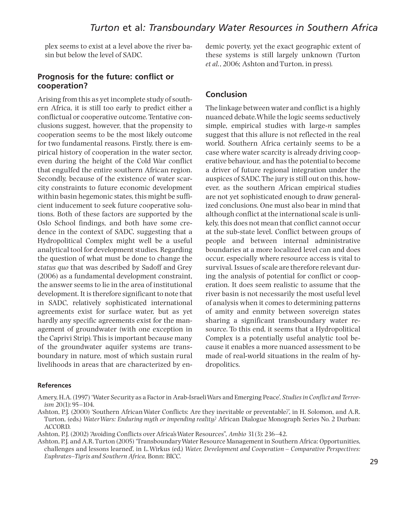plex seems to exist at a level above the river basin but below the level of SADC.

### Prognosis for the future: conflict or cooperation?

Arising from this as yet incomplete study of southern Africa, it is still too early to predict either a conflictual or cooperative outcome. Tentative conclusions suggest, however, that the propensity to cooperation seems to be the most likely outcome for two fundamental reasons. Firstly, there is empirical history of cooperation in the water sector, even during the height of the Cold War conflict that engulfed the entire southern African region. Secondly, because of the existence of water scarcity constraints to future economic development within basin hegemonic states, this might be sufficient inducement to seek future cooperative solutions. Both of these factors are supported by the Oslo School findings, and both have some credence in the context of SADC, suggesting that a Hydropolitical Complex might well be a useful analytical tool for development studies. Regarding the question of what must be done to change the status quo that was described by Sadoff and Grey (2006) as a fundamental development constraint, the answer seems to lie in the area of institutional development. It is therefore significant to note that in SADC, relatively sophisticated international agreements exist for surface water, but as yet hardly any specific agreements exist for the management of groundwater (with one exception in the Caprivi Strip). This is important because many of the groundwater aquifer systems are transboundary in nature, most of which sustain rural livelihoods in areas that are characterized by endemic poverty, yet the exact geographic extent of these systems is still largely unknown (Turton et al., 2006; Ashton and Turton, in press).

### Conclusion

The linkage between water and conflict is a highly nuanced debate.While the logic seems seductively simple, empirical studies with large-n samples suggest that this allure is not reflected in the real world. Southern Africa certainly seems to be a case where water scarcity is already driving cooperative behaviour, and has the potential to become a driver of future regional integration under the auspices of SADC. The jury is still out on this, however, as the southern African empirical studies are not yet sophisticated enough to draw generalized conclusions. One must also bear in mind that although conflict at the international scale is unlikely, this does not mean that conflict cannot occur at the sub-state level. Conflict between groups of people and between internal administrative boundaries at a more localized level can and does occur, especially where resource access is vital to survival. Issues of scale are therefore relevant during the analysis of potential for conflict or cooperation. It does seem realistic to assume that the river basin is not necessarily the most useful level of analysis when it comes to determining patterns of amity and enmity between sovereign states sharing a significant transboundary water resource. To this end, it seems that a Hydropolitical Complex is a potentially useful analytic tool because it enables a more nuanced assessment to be made of real-world situations in the realm of hydropolitics.

#### References

Amery, H.A. (1997) 'Water Security as a Factor in Arab-Israeli Wars and Emerging Peace', Studies in Conflict and Terror $ism 20(1): 95-104.$ 

Ashton, P.J. (2000) 'Southern AfricanWater Conflicts: Are they inevitable or preventable?', in H. Solomon, and A.R. Turton, (eds.) WaterWars: Enduring myth or impending reality? African Dialogue Monograph Series No. 2 Durban: ACCORD.

Ashton, P.J. (2002) 'Avoiding Conflicts over Africa's Water Resources", Ambio 31(3): 236-42.

Ashton, P.J. and A.R.Turton (2005) 'TransboundaryWater Resource Management in Southern Africa: Opportunities, challenges and lessons learned', in L. Wirkus (ed.) Water, Development and Cooperation - Comparative Perspectives: Euphrates^Tigris and Southern Africa, Bonn: BICC.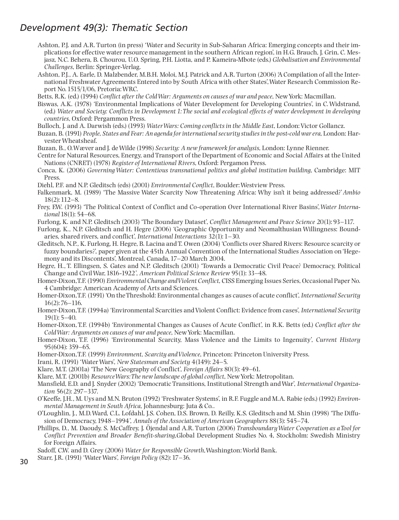Ashton, P.J. and A.R. Turton (in press) 'Water and Security in Sub-Saharan Africa: Emerging concepts and their implications for effective water resource management in the southern African region', in H.G. Brauch, J. Grin, C. Mesjasz, N.C. Behera, B. Chourou, U.O. Spring, P.H. Liotta, and P. Kameira-Mbote (eds.) Globalisation and Environmental Challenges, Berlin: Springer-Verlag.

Ashton, P.J., A. Earle, D. Malzbender, M.B.H. Moloi, M.J. Patrick and A.R. Turton (2006) 'A Compilation of all the International Freshwater Agreements Entered into by South Africa with other States',Water Research Commission Report No.1515/1/06, Pretoria:WRC.

Betts, R.K. (ed.) (1994) Conflict after the Cold War: Arguments on causes of war and peace, New York: Macmillan.

Biswas, A.K. (1978) 'Environmental Implications of Water Development for Developing Countries', in C.Widstrand, (ed.) Water and Society: Conflicts in Development 1: The social and ecological effects of water development in developing countries, Oxford: Pergammon Press.

Bulloch, J. and A. Darwish (eds.) (1993) WaterWars: Coming conflicts in the Middle East, London: Victor Gollancz.

Buzan, B. (1991) People, States and Fear: An agenda for international security studies in the post-cold war era, London: HarvesterWheatsheaf.

Buzan, B., O.Wæver and J. de Wilde (1998) Security: A new framework for analysis, London: Lynne Rienner.

Centre for Natural Resources, Energy, and Transport of the Department of Economic and Social Affairs at the United Nations (CNRET) (1978) Register of International Rivers, Oxford: Pergamon Press.

Conca, K. (2006) GoverningWater: Contentious transnational politics and global institution building, Cambridge: MIT Press.

Diehl, P.F. and N.P. Gleditsch (eds) (2001) Environmental Conflict, Boulder: Westview Press.

Falkenmark, M. (1989) 'The Massive Water Scarcity Now Threatening Africa: Why isn't it being addressed?'Ambio  $18(2): 112-8.$ 

Frey, F.W. (1993) 'The Political Context of Conflict and Co-operation Over International River Basins', Water International  $18(1)$ : 54-68.

Furlong, K. and N.P. Gleditsch (2003) 'The Boundary Dataset', Conflict Management and Peace Science 20(1): 93^117.

Furlong, K., N.P. Gleditsch and H. Hegre (2006) 'Geographic Opportunity and Neomalthusian Willingness: Boundaries, shared rivers, and conflict', International Interactions 32(1):1^30.

Gleditsch, N.P., K. Furlong, H. Hegre, B. Lacina and T. Owen (2004) 'Conflicts over Shared Rivers: Resource scarcity or fuzzy boundaries?', paper given at the 45th Annual Convention of the International Studies Association on'Hegemony and its Discontents', Montreal, Canada,17^20 March 2004.

Hegre, H., T. Ellingsen, S. Gates and N.P. Gleditsch (2001) 'Towards a Democratic Civil Peace? Democracy, Political Change and Civil War, 1816-1922', American Political Science Review 95(1): 33-48.

Homer-Dixon,T.F. (1990) Environmental Change andViolent Conflict, CISS Emerging Issues Series, Occasional Paper No. 4 Cambridge: American Academy of Arts and Sciences.

Homer-Dixon, T.F. (1991) 'On the Threshold: Environmental changes as causes of acute conflict', International Security 16(2):76^116.

Homer-Dixon, T.F. (1994b) 'Environmental Changes as Causes of Acute Conflict', in R.K. Betts (ed.) Conflict after the ColdWar: Arguments on causes of war and peace, NewYork: Macmillan.

Homer-Dixon, T.F. (1996) 'Environmental Scarcity, Mass Violence and the Limits to Ingenuity', Current History 95(604): 359^65.

Homer-Dixon,T.F. (1999) Environment, Scarcity andViolence, Princeton: Princeton University Press.

Irani, R. (1991) 'Water Wars', New Statesman and Society 4(149): 24-5.

Klare, M.T. (2001a) 'The New Geography of Conflict', Foreign Affairs  $80(3)$ : 49-61.

Klare, M.T. (2001b) ResourceWars:The new landscape of global conflict, NewYork: Metropolitan.

Mansfield, E.D. and J. Snyder (2002) 'Democratic Transitions, Institutional Strength andWar', International Organization 56(2): 297-337.

O'Keeffe, J.H., M. Uys and M.N. Bruton (1992) 'Freshwater Systems', in R.F. Fuggle and M.A. Rabie (eds.) (1992) Environmental Management in South Africa, Johannesburg: Juta & Co..

O'Loughlin, J., M.D.Ward, C.L. Lofdahl, J.S. Cohen, D.S. Brown, D. Reilly, K.S. Gleditsch and M. Shin (1998) 'The Diffusion of Democracy, 1948–1994', Annals of the Association of American Geographers 88(3): 545–74.

Phillips, D., M. Daoudy, S. McCaffrey, J. Ojendal and A.R. Turton (2006) Transboundary Water Cooperation as a Tool for Conflict Prevention and Broader Benefit-sharing,Global Development Studies No. 4, Stockholm: Swedish Ministry for Foreign Affairs.

Sadoff, C.W. and D. Grey (2006) Water for Responsible Growth, Washington: World Bank.

Starr, J.R. (1991) 'Water Wars', Foreign Policy (82): 17-36.

Homer-Dixon, T.F. (1994a) 'Environmental Scarcities and Violent Conflict: Evidence from cases', International Security  $19(1): 5-40.$